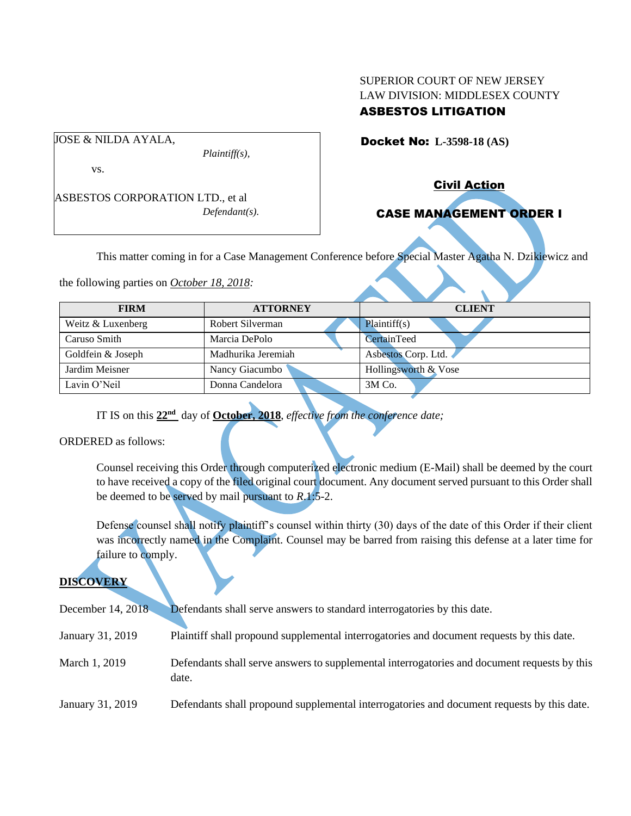### SUPERIOR COURT OF NEW JERSEY LAW DIVISION: MIDDLESEX COUNTY ASBESTOS LITIGATION

Docket No: **L-3598-18 (AS)** 

JOSE & NILDA AYALA,

*Plaintiff(s),*

vs.

ASBESTOS CORPORATION LTD., et al *Defendant(s).* Civil Action

# CASE MANAGEMENT ORDER I

This matter coming in for a Case Management Conference before Special Master Agatha N. Dzikiewicz and

the following parties on *October 18, 2018:*

| <b>FIRM</b>       | <b>ATTORNEY</b>    | <b>CLIENT</b>        |
|-------------------|--------------------|----------------------|
| Weitz & Luxenberg | Robert Silverman   | Plaintiff(s)         |
| Caruso Smith      | Marcia DePolo      | CertainTeed          |
| Goldfein & Joseph | Madhurika Jeremiah | Asbestos Corp. Ltd.  |
| Jardim Meisner    | Nancy Giacumbo     | Hollingsworth & Vose |
| Lavin O'Neil      | Donna Candelora    | $3M$ Co.             |

IT IS on this **22nd** day of **October, 2018**, *effective from the conference date;*

ORDERED as follows:

Counsel receiving this Order through computerized electronic medium (E-Mail) shall be deemed by the court to have received a copy of the filed original court document. Any document served pursuant to this Order shall be deemed to be served by mail pursuant to *R*.1:5-2.

Defense counsel shall notify plaintiff's counsel within thirty (30) days of the date of this Order if their client was incorrectly named in the Complaint. Counsel may be barred from raising this defense at a later time for failure to comply.

## **DISCOVERY**

| December 14, 2018 | Defendants shall serve answers to standard interrogatories by this date.                              |
|-------------------|-------------------------------------------------------------------------------------------------------|
| January 31, 2019  | Plaintiff shall propound supplemental interrogatories and document requests by this date.             |
| March 1, 2019     | Defendants shall serve answers to supplemental interrogatories and document requests by this<br>date. |
| January 31, 2019  | Defendants shall propound supplemental interrogatories and document requests by this date.            |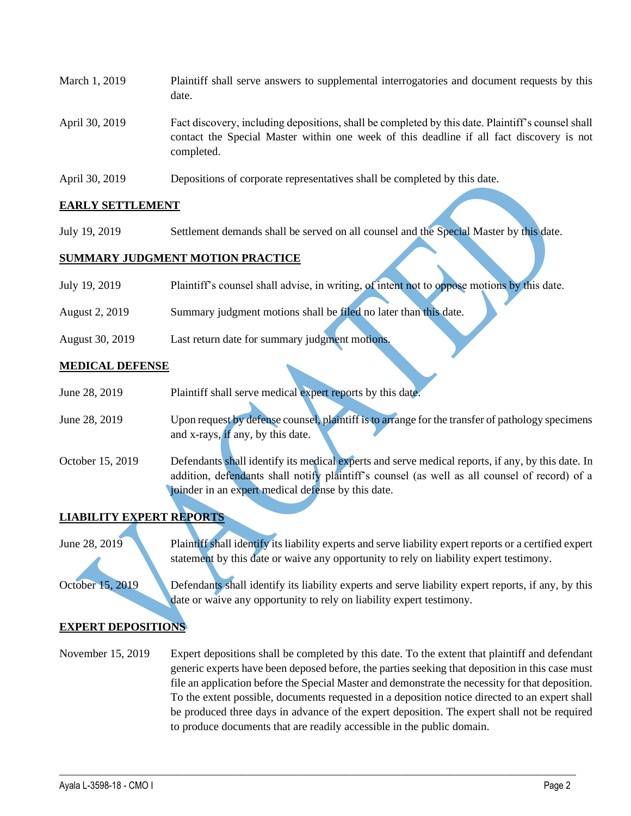| March 1, 2019  | Plaintiff shall serve answers to supplemental interrogatories and document requests by this<br>date.                                                                                                        |
|----------------|-------------------------------------------------------------------------------------------------------------------------------------------------------------------------------------------------------------|
| April 30, 2019 | Fact discovery, including depositions, shall be completed by this date. Plaintiff's counsel shall<br>contact the Special Master within one week of this deadline if all fact discovery is not<br>completed. |

April 30, 2019 Depositions of corporate representatives shall be completed by this date.

### **EARLY SETTLEMENT**

July 19, 2019 Settlement demands shall be served on all counsel and the Special Master by this date.

### **SUMMARY JUDGMENT MOTION PRACTICE**

| July 19, 2019         | Plaintiff's counsel shall advise, in writing, of intent not to oppose motions by this date. |
|-----------------------|---------------------------------------------------------------------------------------------|
|                       |                                                                                             |
| <b>August 2, 2019</b> | Summary judgment motions shall be filed no later than this date.                            |
|                       |                                                                                             |
| August 30, 2019       | Last return date for summary judgment motions.                                              |

#### **MEDICAL DEFENSE**

| June 28, 2019    | Plaintiff shall serve medical expert reports by this date.                                        |
|------------------|---------------------------------------------------------------------------------------------------|
|                  |                                                                                                   |
| June 28, 2019    | Upon request by defense counsel, plaintiff is to arrange for the transfer of pathology specimens  |
|                  | and x-rays, if any, by this date.                                                                 |
| October 15, 2019 | Defendants shall identify its medical experts and serve medical reports, if any, by this date. In |
|                  | addition, defendants shall notify plaintiff's counsel (as well as all counsel of record) of a     |
|                  | joinder in an expert medical defense by this date.                                                |
|                  |                                                                                                   |

# **LIABILITY EXPERT REPORTS**

June 28, 2019 Plaintiff shall identify its liability experts and serve liability expert reports or a certified expert statement by this date or waive any opportunity to rely on liability expert testimony.

October 15, 2019 Defendants shall identify its liability experts and serve liability expert reports, if any, by this date or waive any opportunity to rely on liability expert testimony.

#### **EXPERT DEPOSITIONS**

November 15, 2019 Expert depositions shall be completed by this date. To the extent that plaintiff and defendant generic experts have been deposed before, the parties seeking that deposition in this case must file an application before the Special Master and demonstrate the necessity for that deposition. To the extent possible, documents requested in a deposition notice directed to an expert shall be produced three days in advance of the expert deposition. The expert shall not be required to produce documents that are readily accessible in the public domain.

 $\_$  , and the set of the set of the set of the set of the set of the set of the set of the set of the set of the set of the set of the set of the set of the set of the set of the set of the set of the set of the set of th